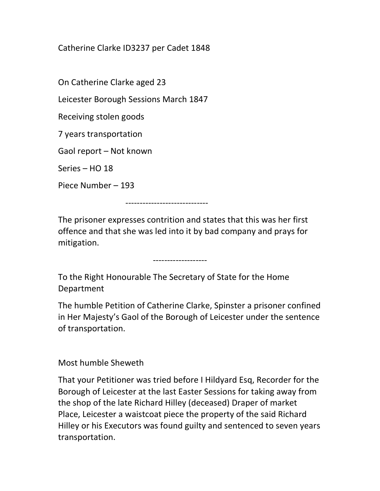## Catherine Clarke ID3237 per Cadet 1848

On Catherine Clarke aged 23

Leicester Borough Sessions March 1847

Receiving stolen goods

7 years transportation

Gaol report – Not known

Series – HO 18

Piece Number – 193

-----------------------------

The prisoner expresses contrition and states that this was her first offence and that she was led into it by bad company and prays for mitigation.

-------------------

To the Right Honourable The Secretary of State for the Home Department

The humble Petition of Catherine Clarke, Spinster a prisoner confined in Her Majesty's Gaol of the Borough of Leicester under the sentence of transportation.

Most humble Sheweth

That your Petitioner was tried before I Hildyard Esq, Recorder for the Borough of Leicester at the last Easter Sessions for taking away from the shop of the late Richard Hilley (deceased) Draper of market Place, Leicester a waistcoat piece the property of the said Richard Hilley or his Executors was found guilty and sentenced to seven years transportation.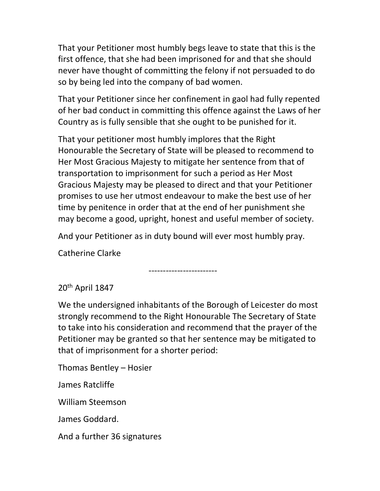That your Petitioner most humbly begs leave to state that this is the first offence, that she had been imprisoned for and that she should never have thought of committing the felony if not persuaded to do so by being led into the company of bad women.

That your Petitioner since her confinement in gaol had fully repented of her bad conduct in committing this offence against the Laws of her Country as is fully sensible that she ought to be punished for it.

That your petitioner most humbly implores that the Right Honourable the Secretary of State will be pleased to recommend to Her Most Gracious Majesty to mitigate her sentence from that of transportation to imprisonment for such a period as Her Most Gracious Majesty may be pleased to direct and that your Petitioner promises to use her utmost endeavour to make the best use of her time by penitence in order that at the end of her punishment she may become a good, upright, honest and useful member of society.

And your Petitioner as in duty bound will ever most humbly pray.

Catherine Clarke

------------------------

20th April 1847

We the undersigned inhabitants of the Borough of Leicester do most strongly recommend to the Right Honourable The Secretary of State to take into his consideration and recommend that the prayer of the Petitioner may be granted so that her sentence may be mitigated to that of imprisonment for a shorter period:

Thomas Bentley – Hosier

James Ratcliffe

William Steemson

James Goddard.

And a further 36 signatures